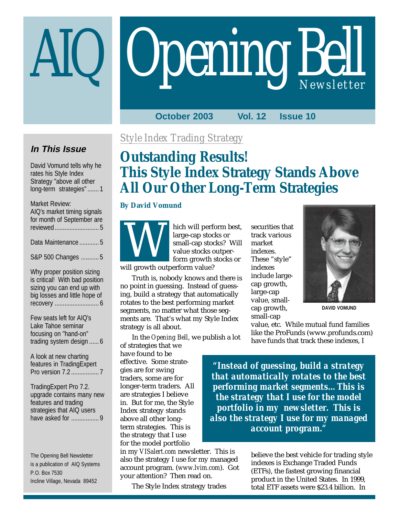# **Opening Bell**

**October 2003 Vol. 12 Issue 10**

# **In This Issue**

David Vomund tells why he rates his Style Index Strategy "above all other long-term strategies" ....... 1

#### Market Review:

| AIQ's market timing signals<br>for month of September are |
|-----------------------------------------------------------|
| Data Maintenance  5                                       |
| S&P 500 Changes  5                                        |
| Why proper position sizing                                |

is critical! With bad position sizing you can end up with big losses and little hope of recovery ........................... 6

Few seats left for AIQ's Lake Tahoe seminar focusing on "hand-on" trading system design ...... 6

A look at new charting features in TradingExpert Pro version 7.2 ................. 7

TradingExpert Pro 7.2. upgrade contains many new features and trading strategies that AIQ users have asked for ................. 9

The Opening Bell Newsletter is a publication of AIQ Systems P.O. Box 7530 Incline Village, Nevada 89452

# *Style Index Trading Strategy*

# **Outstanding Results! This Style Index Strategy Stands Above All Our Other Long-Term Strategies**

#### **By David Vomund**



hich will perform best, large-cap stocks or small-cap stocks? Will value stocks outperform growth stocks or

Truth is, nobody knows and there is no point in guessing. Instead of guessing, build a strategy that automatically rotates to the best performing market segments, no matter what those segments are. That's what my Style Index strategy is all about.

In the *Opening Bell*, we publish a lot

of strategies that we have found to be effective. Some strategies are for swing traders, some are for longer-term traders. All are strategies I believe in. But for me, the Style Index strategy stands above all other longterm strategies. This is the strategy that I use for the model portfolio

in my *VISalert.com* newsletter. This is also the strategy I use for my managed account program. (*www.lvim.com*). Got your attention? Then read on.

The Style Index strategy trades

securities that track various market indexes. These "style" indexes include largecap growth, large-cap value, smallcap growth, small-cap



**DAVID VOMUND**

value, etc. While mutual fund families like the ProFunds (www.profunds.com) have funds that track these indexes, I

*"Instead of guessing, build a strategy that automatically rotates to the best performing market segments…This is the strategy that I use for the model portfolio in my newsletter. This is also the strategy I use for my managed account program."*

> believe the best vehicle for trading style indexes is Exchange Traded Funds (ETFs), the fastest growing financial product in the United States. In 1999, total ETF assets were \$23.4 billion. In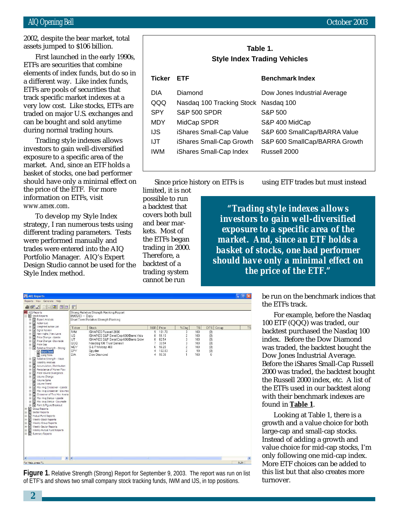#### AIQ Opening Bell October 2003

ETFs are securities that combine First launched in the early 1990s, elements of index funds, but do so in a different way. Like index funds, ETFs are pools of securities that track specific market indexes at a very low cost. Like stocks, ETFs are traded on major U.S. exchanges and can be bought and sold anytime during normal trading hours.

Trading style indexes allows investors to gain well-diversified exposure to a specific area of the market. And, since an ETF holds a basket of stocks, one bad performer should have only a minimal effect on the price of the ETF. For more information on ETFs, visit *www.amex.com*.

To develop my Style Index strategy, I ran numerous tests using different trading parameters. Tests were performed manually and trades were entered into the AIQ Portfolio Manager. AIQ's Expert Design Studio cannot be used for the Style Index method.

| Table 1.<br><b>Style Index Trading Vehicles</b> |                           |                               |  |  |  |  |
|-------------------------------------------------|---------------------------|-------------------------------|--|--|--|--|
| <b>Ticker</b>                                   | ETF                       | <b>Benchmark Index</b>        |  |  |  |  |
| DIA                                             | Diamond                   | Dow Jones Industrial Average  |  |  |  |  |
| QQQ                                             | Nasdag 100 Tracking Stock | Nasdag 100                    |  |  |  |  |
| <b>SPY</b>                                      | <b>S&amp;P 500 SPDR</b>   | S&P 500                       |  |  |  |  |
| MDY                                             | MidCap SPDR               | S&P 400 MidCap                |  |  |  |  |
| IJS                                             | iShares Small-Cap Value   | S&P 600 SmallCap/BARRA Value  |  |  |  |  |
| IJT                                             | iShares Small-Cap Growth  | S&P 600 SmallCap/BARRA Growth |  |  |  |  |
| <b>IWM</b>                                      | iShares Small-Cap Index   | Russell 2000                  |  |  |  |  |

Since price history on ETFs is

limited, it is not possible to run a backtest that covers both bull and bear markets. Most of the ETFs began trading in 2000. Therefore, a backtest of a trading system cannot be run

using ETF trades but must instead

*"Trading style indexes allows investors to gain well-diversified exposure to a specific area of the market. And, since an ETF holds a basket of stocks, one bad performer should have only a minimal effect on the price of the ETF."*

| <b>AIQ Reports</b>                                                                                                                                                                                                                                                                                                                                                                                                                                                                                                                                                                                                                                                                                                                                                                                                                                                                                                                                                                                       |                                                                                                    |                                                                                                                                                                                                                                                                                 |                                 |                                                                                   |                                                                                                    |                                                           |                                                                              |            | $ \mathbb{P}$ $\mathbb{X}$ |
|----------------------------------------------------------------------------------------------------------------------------------------------------------------------------------------------------------------------------------------------------------------------------------------------------------------------------------------------------------------------------------------------------------------------------------------------------------------------------------------------------------------------------------------------------------------------------------------------------------------------------------------------------------------------------------------------------------------------------------------------------------------------------------------------------------------------------------------------------------------------------------------------------------------------------------------------------------------------------------------------------------|----------------------------------------------------------------------------------------------------|---------------------------------------------------------------------------------------------------------------------------------------------------------------------------------------------------------------------------------------------------------------------------------|---------------------------------|-----------------------------------------------------------------------------------|----------------------------------------------------------------------------------------------------|-----------------------------------------------------------|------------------------------------------------------------------------------|------------|----------------------------|
| Reports View Generate Help                                                                                                                                                                                                                                                                                                                                                                                                                                                                                                                                                                                                                                                                                                                                                                                                                                                                                                                                                                               |                                                                                                    |                                                                                                                                                                                                                                                                                 |                                 |                                                                                   |                                                                                                    |                                                           |                                                                              |            |                            |
| $A$ of $A$<br>因问团 回回                                                                                                                                                                                                                                                                                                                                                                                                                                                                                                                                                                                                                                                                                                                                                                                                                                                                                                                                                                                     | F                                                                                                  |                                                                                                                                                                                                                                                                                 |                                 |                                                                                   |                                                                                                    |                                                           |                                                                              |            |                            |
| AIQ Reports<br>E- Stock Reports<br>E Expert Analysis<br>Action List<br>由<br>Weighted Action List<br>由<br>Signal Review<br>由<br>由 图 New Highs / New Lows<br>Price Change - Upside<br>由<br>由<br>Price Change - Downside<br><b>E</b> Price Gap<br>白雪 Relative Strength - Strong<br>Short Term<br>Long Term<br>田 图 Relative Strength - Weak<br>E Volatility Analysis<br>Accumulation / Distribution<br>由<br>Persistence of Money Flow<br>由<br>Price Volume Divergence<br>由<br>Volume Change<br>由<br>Volume Spike<br>Volume Trend<br>Mov Avg Crossover - Upside<br>由<br>由<br>Mov Avg Crossover - Downsic<br>Crossover of Two Mov Avera<br>由<br>Mov Avg Status - Upside<br>由<br>Mov Avg Status - Downside<br>由<br>Point & Figure Breakout<br>÷.<br>₿<br>Group Reports<br>$\pm$<br>Ė.<br>Sector Reports<br>Ð<br>由<br>囼<br>Mutual Fund Reports<br>¥.<br>Weekly Stock Reports<br>Weekly Group Reports<br>宙<br>n<br>÷.<br>Weekly Sector Reports<br>Ð<br>٠ŵ<br>Weekly Mutual Fund Reports<br>Ð<br>E Summary Reports | $09/05/03 -$ Daily<br>Ticker<br><b>IWM</b><br><b>IJS</b><br>IJT<br>QQQ<br>MDY<br>SPY<br><b>DIA</b> | Strong Relative Strength Ranking Report<br>Short Term Relative Strength Ranking<br><b>Stock</b><br>ISHARES Russell 2000<br>ISHARES S&P SmallCap 600/Barra Valu<br>ISHARES S&P SmallCap 600/Barra Grow<br>Nasdag 100 Trust Series I<br>S & P Midcap 400<br>Spyder<br>Dow Diamond | 9<br>8<br>8<br>7<br>6<br>4<br>4 | <b>RSR</b> Price<br>101.70<br>91.10<br>82.54<br>33.94<br>96.20<br>102.83<br>95.38 | %Chg<br>3<br>$\overline{\mathbf{c}}$<br>3<br>3<br>$\overline{c}$<br>$\overline{c}$<br>$\mathbf{1}$ | <b>TS</b><br>100<br>100<br>100<br>100<br>100<br>99<br>100 | <b>DTS</b><br>Group<br>(0)<br>(0)<br>(0)<br>(0)<br>(0)<br>(0)<br>$\mathbf 0$ |            | <b>TS</b>                  |
|                                                                                                                                                                                                                                                                                                                                                                                                                                                                                                                                                                                                                                                                                                                                                                                                                                                                                                                                                                                                          |                                                                                                    |                                                                                                                                                                                                                                                                                 |                                 |                                                                                   |                                                                                                    |                                                           |                                                                              |            |                            |
| $\,$<br>K<br><b>THE</b>                                                                                                                                                                                                                                                                                                                                                                                                                                                                                                                                                                                                                                                                                                                                                                                                                                                                                                                                                                                  | $\blacktriangleleft$                                                                               |                                                                                                                                                                                                                                                                                 | Ш.                              |                                                                                   |                                                                                                    |                                                           |                                                                              |            |                            |
| For Help, press F1                                                                                                                                                                                                                                                                                                                                                                                                                                                                                                                                                                                                                                                                                                                                                                                                                                                                                                                                                                                       |                                                                                                    |                                                                                                                                                                                                                                                                                 |                                 |                                                                                   |                                                                                                    |                                                           |                                                                              | <b>NUM</b> |                            |

**Figure 1.** Relative Strength (Strong) Report for September 9, 2003. The report was run on list of ETF's and shows two small company stock tracking funds, IWM and IJS, in top positions.

be run on the benchmark indices that the ETFs track.

For example, before the Nasdaq 100 ETF (QQQ) was traded, our backtest purchased the Nasdaq 100 index. Before the Dow Diamond was traded, the backtest bought the Dow Jones Industrial Average. Before the iShares Small-Cap Russell 2000 was traded, the backtest bought the Russell 2000 index, etc. A list of the ETFs used in our backtest along with their benchmark indexes are found in **Table 1**.

Looking at Table 1, there is a growth and a value choice for both large-cap and small-cap stocks. Instead of adding a growth and value choice for mid-cap stocks, I'm only following one mid-cap index. More ETF choices can be added to this list but that also creates more turnover.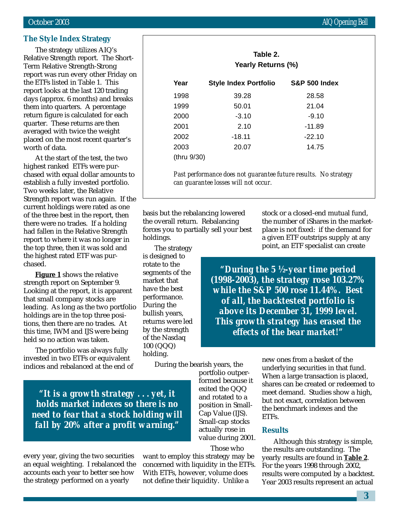#### **The Style Index Strategy**

The strategy utilizes AIQ's Relative Strength report. The Short-Term Relative Strength-Strong report was run every other Friday on the ETFs listed in Table 1. This report looks at the last 120 trading days (approx. 6 months) and breaks them into quarters. A percentage return figure is calculated for each quarter. These returns are then averaged with twice the weight placed on the most recent quarter's worth of data.

At the start of the test, the two highest ranked ETFs were purchased with equal dollar amounts to establish a fully invested portfolio. Two weeks later, the Relative Strength report was run again. If the current holdings were rated as one of the three best in the report, then there were no trades. If a holding had fallen in the Relative Strength report to where it was no longer in the top three, then it was sold and the highest rated ETF was purchased.

**Figure 1** shows the relative strength report on September 9. Looking at the report, it is apparent that small company stocks are leading. As long as the two portfolio holdings are in the top three positions, then there are no trades. At this time, IWM and IJS were being held so no action was taken.

The portfolio was always fully invested in two ETFs or equivalent indices and rebalanced at the end of

*"It is a growth strategy . . . yet, it holds market indexes so there is no need to fear that a stock holding will fall by 20% after a profit warning."*

every year, giving the two securities an equal weighting. I rebalanced the accounts each year to better see how the strategy performed on a yearly

want to employ this strategy may be concerned with liquidity in the ETFs. With ETFs, however, volume does not define their liquidity. Unlike a

During the bearish years, the portfolio outperformed because it exited the QQQ and rotated to a position in Small-Cap Value (IJS). Small-cap stocks actually rose in value during 2001.

Those who

new ones from a basket of the underlying securities in that fund. When a large transaction is placed, shares can be created or redeemed to meet demand. Studies show a high, but not exact, correlation between the benchmark indexes and the ETFs.

#### **Results**

Although this strategy is simple, the results are outstanding. The yearly results are found in **Table 2**. For the years 1998 through 2002, results were computed by a backtest. Year 2003 results represent an actual

|             | Table 2.<br>Yearly Returns (%) |                          |  |  |
|-------------|--------------------------------|--------------------------|--|--|
| Year        | <b>Style Index Portfolio</b>   | <b>S&amp;P 500 Index</b> |  |  |
| 1998        | 39.28                          | 28.58                    |  |  |
| 1999        | 50.01                          | 21.04                    |  |  |
| 2000        | $-3.10$                        | $-9.10$                  |  |  |
| 2001        | 2.10                           | $-11.89$                 |  |  |
| 2002        | $-18.11$                       | $-22.10$                 |  |  |
| 2003        | 20.07                          | 14.75                    |  |  |
| (thru 9/30) |                                |                          |  |  |

*Past performance does not guarantee future results. No strategy can guarantee losses will not occur.*

basis but the rebalancing lowered the overall return. Rebalancing forces you to partially sell your best holdings.

The strategy is designed to rotate to the segments of the market that have the best performance. During the bullish years, returns were led by the strength of the Nasdaq 100 (QQQ) holding.

stock or a closed-end mutual fund, the number of iShares in the marketplace is not fixed: if the demand for a given ETF outstrips supply at any point, an ETF specialist can create

*"During the 5 ½-year time period (1998-2003), the strategy rose 103.27% while the S&P 500 rose 11.44%. Best of all, the backtested portfolio is above its December 31, 1999 level. This growth strategy has erased the effects of the bear market!"*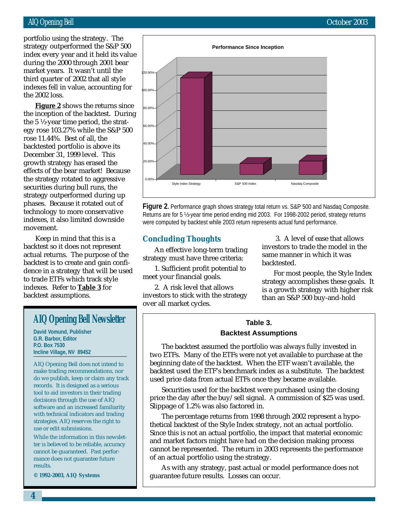#### AIQ Opening Bell October 2003

during the 2000 through 2001 bear portfolio using the strategy. The strategy outperformed the S&P 500 index every year and it held its value market years. It wasn't until the third quarter of 2002 that all style indexes fell in value, accounting for the 2002 loss.

**Figure 2** shows the returns since the inception of the backtest. During the 5 ½-year time period, the strategy rose 103.27% while the S&P 500 rose 11.44%. Best of all, the backtested portfolio is above its December 31, 1999 level. This growth strategy has erased the effects of the bear market! Because the strategy rotated to aggressive securities during bull runs, the strategy outperformed during up phases. Because it rotated out of technology to more conservative indexes, it also limited downside movement.

Keep in mind that this is a backtest so it does not represent actual returns. The purpose of the backtest is to create and gain confidence in a strategy that will be used to trade ETFs which track style indexes. Refer to **Table 3** for backtest assumptions.

## **AIQ Opening Bell Newsletter**

**David Vomund, Publisher G.R. Barbor, Editor P.O. Box 7530 Incline Village, NV 89452**

AIQ Opening Bell does not intend to make trading recommendations, nor do we publish, keep or claim any track records. It is designed as a serious tool to aid investors in their trading decisions through the use of AIQ software and an increased familiarity with technical indicators and trading strategies. AIQ reserves the right to use or edit submissions.

While the information in this newsletter is believed to be reliable, accuracy cannot be guaranteed. Past performance does not guarantee future results.

**© 1992-2003, AIQ Systems**



**Figure 2.** Performance graph shows strategy total return vs. S&P 500 and Nasdaq Composite. Returns are for 5 ½-year time period ending mid 2003. For 1998-2002 period, strategy returns were computed by backtest while 2003 return represents actual fund performance.

#### **Concluding Thoughts**

An effective long-term trading strategy must have three criteria:

1. Sufficient profit potential to meet your financial goals.

2. A risk level that allows investors to stick with the strategy over all market cycles.

 3. A level of ease that allows investors to trade the model in the same manner in which it was backtested.

For most people, the Style Index strategy accomplishes these goals. It is a growth strategy with higher risk than an S&P 500 buy-and-hold

#### **Table 3. Backtest Assumptions**

The backtest assumed the portfolio was always fully invested in two ETFs. Many of the ETFs were not yet available to purchase at the beginning date of the backtest. When the ETF wasn't available, the backtest used the ETF's benchmark index as a substitute. The backtest used price data from actual ETFs once they became available.

Securities used for the backtest were purchased using the closing price the day after the buy/sell signal. A commission of \$25 was used. Slippage of 1.2% was also factored in.

The percentage returns from 1998 through 2002 represent a hypothetical backtest of the Style Index strategy, not an actual portfolio. Since this is not an actual portfolio, the impact that material economic and market factors might have had on the decision making process cannot be represented. The return in 2003 represents the performance of an actual portfolio using the strategy.

As with any strategy, past actual or model performance does not guarantee future results. Losses can occur.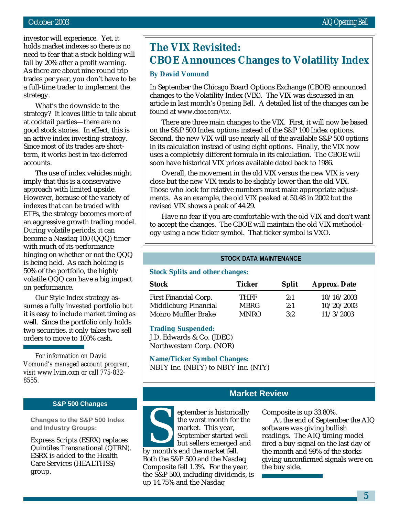investor will experience. Yet, it holds market indexes so there is no need to fear that a stock holding will fall by 20% after a profit warning. As there are about nine round trip trades per year, you don't have to be a full-time trader to implement the strategy.

What's the downside to the strategy? It leaves little to talk about at cocktail parties—there are no good stock stories. In effect, this is an active index investing strategy. Since most of its trades are shortterm, it works best in tax-deferred accounts.

The use of index vehicles might imply that this is a conservative approach with limited upside. However, because of the variety of indexes that can be traded with ETFs, the strategy becomes more of an aggressive growth trading model. During volatile periods, it can become a Nasdaq 100 (QQQ) timer with much of its performance hinging on whether or not the QQQ is being held. As each holding is 50% of the portfolio, the highly volatile QQQ can have a big impact on performance.

Our Style Index strategy assumes a fully invested portfolio but it is easy to include market timing as well. Since the portfolio only holds two securities, it only takes two sell orders to move to 100% cash.

*For information on David Vomund's managed account program, visit www.lvim.com or call 775-832- 8555.*

#### **S&P 500 Changes**

**Changes to the S&P 500 Index and Industry Groups:**

Express Scripts (ESRX) replaces Quintiles Transnational (QTRN). ESRX is added to the Health Care Services (HEALTHSS) group.

# **The VIX Revisited: CBOE Announces Changes to Volatility Index**

#### **By David Vomund**

In September the Chicago Board Options Exchange (CBOE) announced changes to the Volatility Index (VIX). The VIX was discussed in an article in last month's *Opening Bell*. A detailed list of the changes can be found at *www.cboe.com/vix.*

There are three main changes to the VIX. First, it will now be based on the S&P 500 Index options instead of the S&P 100 Index options. Second, the new VIX will use nearly all of the available S&P 500 options in its calculation instead of using eight options. Finally, the VIX now uses a completely different formula in its calculation. The CBOE will soon have historical VIX prices available dated back to 1986.

Overall, the movement in the old VIX versus the new VIX is very close but the new VIX tends to be slightly lower than the old VIX. Those who look for relative numbers must make appropriate adjustments. As an example, the old VIX peaked at 50.48 in 2002 but the revised VIX shows a peak of 44.29.

Have no fear if you are comfortable with the old VIX and don't want to accept the changes. The CBOE will maintain the old VIX methodology using a new ticker symbol. That ticker symbol is VXO.

#### **STOCK DATA MAINTENANCE**

#### **Stock Splits and other changes:**

| <b>Stock</b>                 | Ticker      | <b>Split</b> | <b>Approx.</b> Date |
|------------------------------|-------------|--------------|---------------------|
| <b>First Financial Corp.</b> | <b>THFF</b> | 2:1          | 10/16/2003          |
| Middleburg Financial         | <b>MBRG</b> | 2:1          | 10/20/2003          |
| <b>Monro Muffler Brake</b>   | <b>MNRO</b> | 3:2          | 11/3/2003           |

#### **Trading Suspended:**

J.D. Edwards & Co. (JDEC) Northwestern Corp. (NOR)

**Name/Ticker Symbol Changes:** NBTY Inc. (NBTY) to NBTY Inc. (NTY)

#### **Market Review**

eptember is historically the worst month for the market. This year, September started well but sellers emerged and by month's end the market fell. Both the S&P 500 and the Nasdaq Composite fell 1.3%. For the year, the S&P 500, including dividends, is up 14.75% and the Nasdaq eptember is historically composite is up 33.80%.<br>
the worst month for the At the end of September market. This year, software was giving bull<br>
September started well readings. The AIQ timin<br>
but sellers emerged and fired a

At the end of September the AIQ software was giving bullish readings. The AIQ timing model fired a buy signal on the last day of the month and 99% of the stocks giving unconfirmed signals were on the buy side.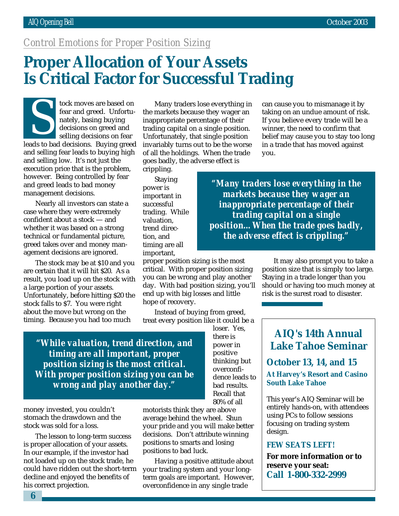# *Control Emotions for Proper Position Sizing*

# **Proper Allocation of Your Assets Is Critical Factor for Successful Trading**

tock moves are based on fear and greed. Unfortunately, basing buying decisions on greed and selling decisions on fear lear and greed. Unfortunately, basing buying<br>decisions on greed and<br>selling decisions on fear<br>leads to bad decisions. Buying greed and selling fear leads to buying high and selling low. It's not just the execution price that is the problem, however. Being controlled by fear and greed leads to bad money management decisions.

Nearly all investors can state a case where they were extremely confident about a stock — and whether it was based on a strong technical or fundamental picture, greed takes over and money management decisions are ignored.

The stock may be at \$10 and you are certain that it will hit \$20. As a result, you load up on the stock with a large portion of your assets. Unfortunately, before hitting \$20 the stock falls to \$7. You were right about the move but wrong on the timing. Because you had too much

Many traders lose everything in the markets because they wager an inappropriate percentage of their trading capital on a single position. Unfortunately, that single position invariably turns out to be the worse of all the holdings. When the trade goes badly, the adverse effect is

crippling. Staying power is important in successful trading. While valuation, trend direction, and timing are all important,

proper position sizing is the most critical. With proper position sizing you can be wrong and play another day. With bad position sizing, you'll end up with big losses and little hope of recovery.

Instead of buying from greed, treat every position like it could be a

can cause you to mismanage it by taking on an undue amount of risk. If you believe every trade will be a winner, the need to confirm that belief may cause you to stay too long in a trade that has moved against you.

*"Many traders lose everything in the markets because they wager an inappropriate percentage of their trading capital on a single position…When the trade goes badly, the adverse effect is crippling."*

> It may also prompt you to take a position size that is simply too large. Staying in a trade longer than you should or having too much money at risk is the surest road to disaster.

*"While valuation, trend direction, and timing are all important, proper position sizing is the most critical. With proper position sizing you can be wrong and play another day."*

money invested, you couldn't stomach the drawdown and the stock was sold for a loss.

The lesson to long-term success is proper allocation of your assets. In our example, if the investor had not loaded up on the stock trade, he could have ridden out the short-term decline and enjoyed the benefits of his correct projection.

loser. Yes, there is power in positive thinking but overconfidence leads to bad results. Recall that 80% of all

motorists think they are above average behind the wheel. Shun your pride and you will make better decisions. Don't attribute winning positions to smarts and losing positions to bad luck.

Having a positive attitude about your trading system and your longterm goals are important. However, overconfidence in any single trade

**AIQ's 14th Annual Lake Tahoe Seminar**

**October 13, 14, and 15 At Harvey's Resort and Casino South Lake Tahoe**

This year's AIQ Seminar will be entirely hands-on, with attendees using PCs to follow sessions focusing on trading system design.

#### **FEW SEATS LEFT!**

**For more information or to reserve your seat: Call 1-800-332-2999**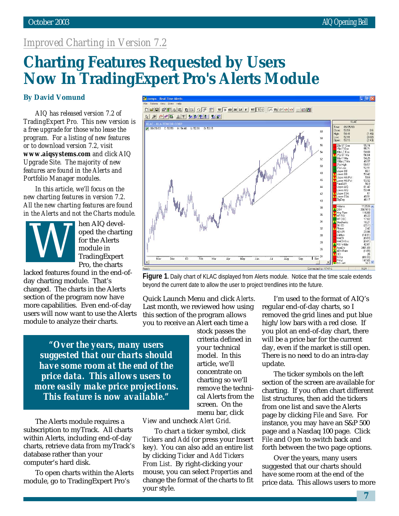# *Improved Charting in Version 7.2*

# **Charting Features Requested by Users Now In TradingExpert Pro's Alerts Module**

#### **By David Vomund**

*AIQ has released version 7.2 of TradingExpert Pro. This new version is a free upgrade for those who lease the program. For a listing of new features or to download version 7.2, visit www.aiqsystems.com and click AIQ Upgrade Site. The majority of new features are found in the Alerts and Portfolio Manager modules.*

*In this article, we'll focus on the new charting features in version 7.2. All the new charting features are found in the Alerts and not the Charts module.*



hen AIQ developed the charting for the Alerts module in TradingExpert Pro, the charts

lacked features found in the end-ofday charting module. That's changed. The charts in the Alerts section of the program now have more capabilities. Even end-of-day users will now want to use the Alerts module to analyze their charts.

*"Over the years, many users suggested that our charts should have some room at the end of the price data. This allows users to more easily make price projections. This feature is now available."*

The Alerts module requires a subscription to myTrack. All charts within Alerts, including end-of-day charts, retrieve data from myTrack's database rather than your computer's hard disk.

To open charts within the Alerts module, go to TradingExpert Pro's



**Figure 1.** Daily chart of KLAC displayed from Alerts module. Notice that the time scale extends beyond the current date to allow the user to project trendlines into the future.

Quick Launch Menu and click *Alerts*. Last month, we reviewed how using this section of the program allows you to receive an Alert each time a

> stock passes the criteria defined in your technical model. In this article, we'll concentrate on charting so we'll remove the technical Alerts from the screen. On the menu bar, click

*View* and uncheck *Alert Grid*.

To chart a ticker symbol, click *Tickers* and *Add* (or press your Insert key). You can also add an entire list by clicking *Ticker* and *Add Tickers From List*. By right-clicking your mouse, you can select *Properties* and change the format of the charts to fit your style.

I'm used to the format of AIQ's regular end-of-day charts, so I removed the grid lines and put blue high/low bars with a red close. If you plot an end-of-day chart, there will be a price bar for the current day, even if the market is still open. There is no need to do an intra-day update.

The ticker symbols on the left section of the screen are available for charting. If you often chart different list structures, then add the tickers from one list and save the Alerts page by clicking *File* and *Save*. For instance, you may have an S&P 500 page and a Nasdaq 100 page. Click *File* and *Open* to switch back and forth between the two page options.

Over the years, many users suggested that our charts should have some room at the end of the price data. This allows users to more

**7**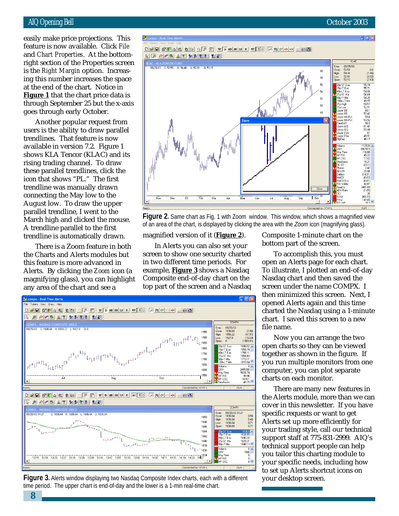right section of the Properties screen easily make price projections. This feature is now available. Click *File* and *Chart Properties*. At the bottomis the *Right Margin* option. Increasing this number increases the space at the end of the chart. Notice in **Figure 1** that the chart price data is through September 25 but the x-axis goes through early October.

Another popular request from users is the ability to draw parallel trendlines. That feature is now available in version 7.2. Figure 1 shows KLA Tencor (KLAC) and its rising trading channel. To draw these parallel trendlines, click the icon that shows "PL." The first trendline was manually drawn connecting the May low to the August low. To draw the upper parallel trendline, I went to the March high and clicked the mouse. A trendline parallel to the first trendline is automatically drawn.

There is a Zoom feature in both the Charts and Alerts modules but this feature is more advanced in Alerts. By clicking the *Zoom* icon (a magnifying glass), you can highlight any area of the chart and see a

**8**



of an area of the chart, is displayed by clicking the area with the *Zoom* icon (magnifying glass).

magnified version of it (**Figure 2**).

In Alerts you can also set your screen to show one security charted in two different time periods. For example, **Figure 3** shows a Nasdaq Composite end-of-day chart on the top part of the screen and a Nasdaq



**Figure 3.** Alerts window displaying two Nasdaq Composite Index charts, each with a different time period. The upper chart is end-of-day and the lower is a 1-min real-time chart.

Composite 1-minute chart on the bottom part of the screen.

 $0.6$ 

To accomplish this, you must open an Alerts page for each chart. To illustrate, I plotted an end-of-day Nasdaq chart and then saved the screen under the name COMPX. I then minimized this screen. Next, I opened Alerts again and this time charted the Nasdaq using a 1-minute chart. I saved this screen to a new file name.

Now you can arrange the two open charts so they can be viewed together as shown in the figure. If you run multiple monitors from one computer, you can plot separate charts on each monitor.

There are many new features in the Alerts module, more than we can cover in this newsletter. If you have specific requests or want to get Alerts set up more efficiently for your trading style, call our technical support staff at 775-831-2999. AIQ's technical support people can help you tailor this charting module to your specific needs, including how to set up Alerts shortcut icons on your desktop screen.